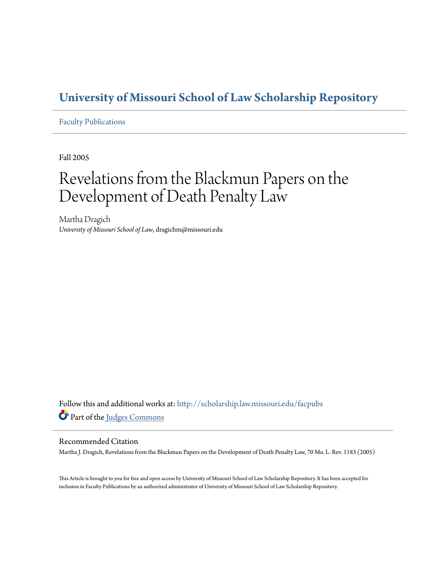# **[University of Missouri School of Law Scholarship Repository](http://scholarship.law.missouri.edu?utm_source=scholarship.law.missouri.edu%2Ffacpubs%2F136&utm_medium=PDF&utm_campaign=PDFCoverPages)**

[Faculty Publications](http://scholarship.law.missouri.edu/facpubs?utm_source=scholarship.law.missouri.edu%2Ffacpubs%2F136&utm_medium=PDF&utm_campaign=PDFCoverPages)

Fall 2005

# Revelations from the Blackmun Papers on the Development of Death Penalty Law

Martha Dragich *University of Missouri School of Law*, dragichm@missouri.edu

Follow this and additional works at: [http://scholarship.law.missouri.edu/facpubs](http://scholarship.law.missouri.edu/facpubs?utm_source=scholarship.law.missouri.edu%2Ffacpubs%2F136&utm_medium=PDF&utm_campaign=PDFCoverPages) Part of the [Judges Commons](http://network.bepress.com/hgg/discipline/849?utm_source=scholarship.law.missouri.edu%2Ffacpubs%2F136&utm_medium=PDF&utm_campaign=PDFCoverPages)

## Recommended Citation

Martha J. Dragich, Revelations from the Blackmun Papers on the Development of Death Penalty Law, 70 Mo. L. Rev. 1183 (2005)

This Article is brought to you for free and open access by University of Missouri School of Law Scholarship Repository. It has been accepted for inclusion in Faculty Publications by an authorized administrator of University of Missouri School of Law Scholarship Repository.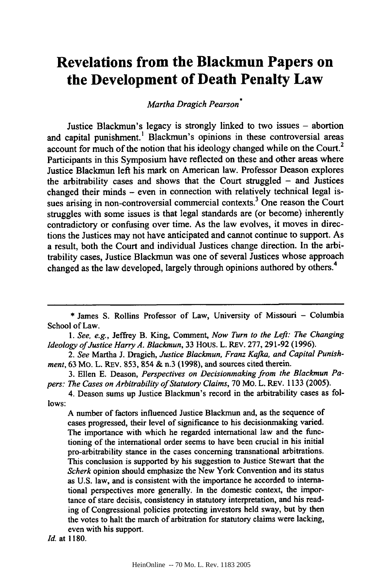# **Revelations from the Blackmun Papers on the Development of Death Penalty Law**

*Martha Dragich Pearson\**

Justice Blackmun's legacy is strongly linked to two issues **-** abortion and capital punishment.' Blackmun's opinions in these controversial areas account for much of the notion that his ideology changed while on the Court.<sup>2</sup> Participants in this Symposium have reflected on these and other areas where Justice Blackmun left his mark on American law. Professor Deason explores the arbitrability cases and shows that the Court struggled - and Justices changed their minds - even in connection with relatively technical legal issues arising in non-controversial commercial contexts.<sup>3</sup> One reason the Court struggles with some issues is that legal standards are (or become) inherently contradictory or confusing over time. As the law evolves, it moves in directions the Justices may not have anticipated and cannot continue to support. As a result, both the Court and individual Justices change direction. In the arbitrability cases, Justice Blackmun was one of several Justices whose approach changed as the law developed, largely through opinions authored by others.<sup>4</sup>

*1. See, e.g.,* Jeffrey B. King, Comment, *Now Turn to the Left: The Changing Ideology of Justice Harry A. Blackmun,* **33** Hous. L. REv. **277, 291-92 (1996).**

*2. See* Martha **J.** Dragich, *Justice Blackmun, Franz Kafka, and Capital Punishment,* **63** Mo. L. REv. **853,** 854 **&** n.3 **(1998),** and sources cited therein.

**3.** Ellen **E.** Deason, *Perspectives on Decisionmaking from the Blackmun Papers: The Cases on Arbitrability of Statutory Claims,* **70** Mo. L. REV. **1133 (2005).**

4. Deason sums up Justice Blackmun's record in the arbitrability cases as fol**lows:**

**A** number of factors influenced Justice Blackmun and, as the sequence of cases progressed, their level of significance to his decisionmaking varied. The importance with which he regarded international law and the **func**tioning of the international order seems to have been crucial in his initial pro-arbitrability stance in the cases concerning transnational arbitrations. This conclusion is supported **by** his suggestion to Justice Stewart that the *Scherk* opinion should emphasize the New York Convention and its status as **U.S.** law, and is consistent with the importance he accorded to international perspectives more generally. In the domestic context, the importance of stare decisis, consistency in statutory interpretation, and his reading of Congressional policies protecting investors held sway, but **by** then the votes to halt the march of arbitration for statutory claims were lacking, even with his support.

*Id.* at **1180.**

<sup>\*</sup> James S. Rollins Professor of Law, University of Missouri - Columbia School of Law.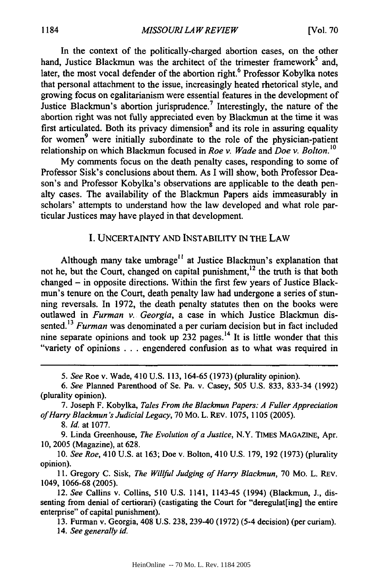In the context of the politically-charged abortion cases, on the other hand, Justice Blackmun was the architect of the trimester framework<sup>5</sup> and, later, the most vocal defender of the abortion right.<sup>6</sup> Professor Kobylka notes that personal attachment to the issue, increasingly heated rhetorical style, and growing focus on egalitarianism were essential features in the development of Justice Blackmun's abortion jurisprudence.<sup>7</sup> Interestingly, the nature of the abortion right was not fully appreciated even by Blackmun at the time it was first articulated. Both its privacy dimension<sup>8</sup> and its role in assuring equality for women<sup>9</sup> were initially subordinate to the role of the physician-patient relationship on which Blackmun focused in *Roe v. Wade* and *Doe v. Bolton.*<sup>16</sup><br>*n* 

My comments focus on the death penalty cases, responding to some of Professor Sisk's conclusions about them. As I will show, both Professor Deason's and Professor Kobylka's observations are applicable to the death penalty cases. The availability of the Blackmun Papers aids immeasurably in scholars' attempts to understand how the law developed and what role particular Justices may have played in that development.

#### I. UNCERTAINTY AND INSTABILITY IN THE LAW

Although many take umbrage<sup> $11$ </sup> at Justice Blackmun's explanation that not he, but the Court, changed on capital punishment, $^{12}$  the truth is that both changed - in opposite directions. Within the first few years of Justice Blackmun's tenure on the Court, death penalty law had undergone a series of stunning reversals. In 1972, the death penalty statutes then on the books were outlawed in *Furman v. Georgia,* a case in which Justice Blackmun dissented.13 *Furman* was denominated a per curiam decision but in fact included nine separate opinions and took up  $232$  pages.<sup>14</sup> It is little wonder that this "variety of opinions . . . engendered confusion as to what was required in

7. Joseph F. Kobylka, *Tales From the Blackmun Papers: A Fuller Appreciation of Harry Blackmun 's Judicial Legacy,* 70 Mo. L. REV. 1075, 1105 (2005).

*8. Id.* at 1077.

9. Linda Greenhouse, *The Evolution of a Justice,* N.Y. TIMES **MAGAZINE,** Apr. 10, 2005 (Magazine), at 628.

10. *See Roe,* 410 U.S. at 163; Doe v. Bolton, 410 U.S. 179, 192 (1973) (plurality opinion).

**11.** Gregory C. Sisk, *The Willful Judging of Harry Blackmun,* 70 Mo. L. REV. 1049, 1066-68 (2005).

12. *See* Callins v. Collins, 510 U.S. 1141, 1143-45 (1994) (Blackmun, J., dissenting from denial of certiorari) (castigating the Court for "deregulat [ing] the entire enterprise" of capital punishment).

**13.** Furman v. Georgia, 408 **U.S. 238,** 239-40 **(1972)** (5-4 decision) (per curiam). 14. *See generally id.*

*<sup>5.</sup> See* Roe v. Wade, 410 U.S. 113, 164-65 (1973) (plurality opinion).

*<sup>6.</sup> See* Planned Parenthood of Se. Pa. v. Casey, 505 U.S. 833, 833-34 (1992) (plurality opinion).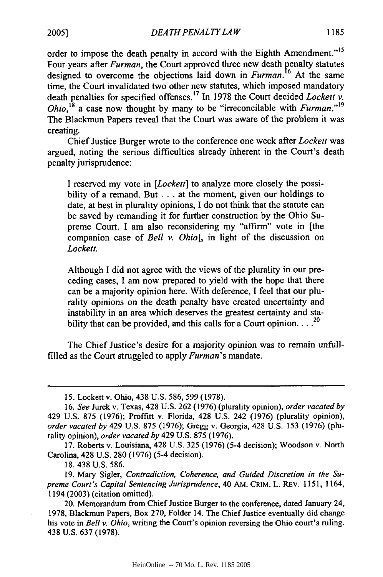*DEA TH PENAL TY LA W* **1185 2005]**

order to impose the death penalty in accord with the Eighth Amendment."<sup>15</sup> Four-years after *Furman*, the Court approved three new death penalty statutes designed to overcome the objections laid down in *Furman.'6* At the same time, the Court invalidated two other new statutes, which imposed mandatory death penalties for specified offenses.17 In 1978 the Court decided *Lockett v. Ohio*,<sup>18</sup> a case now thought by many to be "irreconcilable with *Furman*."<sup>19</sup> The Blackmun Papers reveal that the Court was aware of the problem it was creating.

Chief Justice Burger wrote to the conference one week after *Lockett* was argued, noting the serious difficulties already inherent in the Court's death penalty jurisprudence:

I reserved my vote in *[Lockett]* to analyze more closely the possibility of a remand. But . . . at the moment, given our holdings to date, at best in plurality opinions, I do not think that the statute can be saved by remanding it for further construction by the Ohio Supreme Court. I am also reconsidering my "affirm" vote in [the companion case of *Bell v. Ohio],* in light of the discussion on *Lockett.*

Although I did not agree with the views of the plurality in our preceding cases, I am now prepared to yield with the hope that there can be a majority opinion here. With deference, I feel that our plurality opinions on the death penalty have created uncertainty and instability in an area which deserves the greatest certainty and stability that can be provided, and this calls for a Court opinion.  $\ldots$ <sup>20</sup>

The Chief Justice's desire for a majority opinion was to remain unfullfilled as the Court struggled to apply *Furman's* mandate.

18. 438 U.S. 586.

<sup>15.</sup> Lockett v. Ohio, 438 U.S. 586, 599 (1978).

<sup>16.</sup> *See* Jurek v. Texas, 428 U.S. 262 (1976) (plurality opinion), *order vacated by* 429 U.S. 875 (1976); Proffitt v. Florida, 428 U.S. 242 (1976) (plurality opinion), *order vacated by* 429 U.S. 875 (1976); Gregg v. Georgia, 428 U.S. 153 (1976) (plurality opinion), *order vacated by* 429 U.S. 875 (1976).

<sup>17.</sup> Roberts v. Louisiana, 428 U.S. 325 (1976) (5-4 decision); Woodson v. North Carolina, 428 U.S. 280 (1976) (5-4 decision).

<sup>19.</sup> Mary Sigler, *Contradiction, Coherence, and Guided Discretion in the Supreme Court's Capital Sentencing Jurisprudence,* 40 AM. **CRIM.** L. REv. 1151, 1164, 1194 (2003) (citation omitted).

<sup>20.</sup> Memorandum from Chief Justice Burger to the conference, dated January 24, 1978, Blackmun Papers, Box 270, Folder 14. The Chief Justice eventually did change his vote in *Bell v. Ohio,* writing the Court's opinion reversing the Ohio court's ruling. 438 U.S. 637 (1978).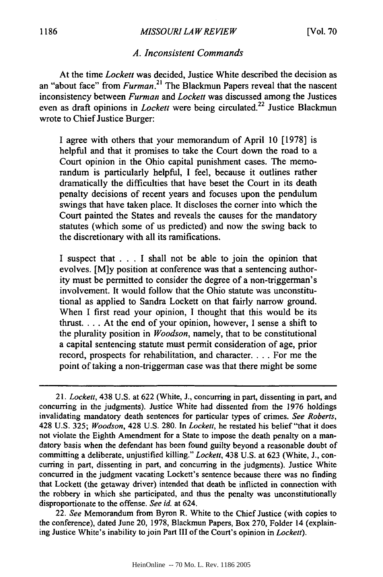#### *MISSOURI LA W REVIEW* **1186** [Vol. **70**

#### *A. Inconsistent Commands*

At the time *Lockett* was decided, Justice White described the decision as an "about face" from *Furman.21* The Blackmun Papers reveal that the nascent inconsistency between *Furman* and *Lockett* was discussed among the Justices even as draft opinions in *Lockett* were being circulated.<sup>22</sup> Justice Blackmun wrote to Chief Justice Burger:

I agree with others that your memorandum of April 10 [1978] is helpful and that it promises to take the Court down the road to a Court opinion in the Ohio capital punishment cases. The memorandum is particularly helpful, I feel, because it outlines rather dramatically the difficulties that have beset the Court in its death penalty decisions of recent years and focuses upon the pendulum swings that have taken place. It discloses the comer into which the Court painted the States and reveals the causes for the mandatory statutes (which some of us predicted) and now the swing back to the discretionary with all its ramifications.

I suspect that . . . I shall not be able to join the opinion that evolves. [M]y position at conference was that a sentencing authority must be permitted to consider the degree of a non-triggerman's involvement. It would follow that the Ohio statute was unconstitutional as applied to Sandra Lockett on that fairly narrow ground. When I first read your opinion, I thought that this would be its thrust.... At the end of your opinion, however, I sense a shift to the plurality position in *Woodson,* namely, that to be constitutional a capital sentencing statute must permit consideration of age, prior record, prospects for rehabilitation, and character.... For me the point of taking a non-triggerman case was that there might be some

22. *See* Memorandum from Byron R. White to the Chief Justice (with copies to the conference), dated June 20, 1978, Blackmun Papers, Box 270, Folder 14 (explaining Justice White's inability to join Part III of the Court's opinion in *Lockett).*

<sup>21.</sup> Lockett, 438 U.S. at 622 (White, J., concurring in part, dissenting in part, and concurring in the judgments). Justice White had dissented from the 1976 holdings invalidating mandatory death sentences for particular types of crimes. *See Roberts,* 428 U.S. 325; *Woodson,* 428 U.S. 280. In *Lockett,* he restated his belief "that it does not violate the Eighth Amendment for a State to impose the death penalty on a mandatory basis when the defendant has been found guilty beyond a reasonable doubt of committing a deliberate, unjustified killing." *Lockett,* 438 U.S. at 623 (White, J., concurring in part, dissenting in part, and concurring in the judgments). Justice White concurred in the judgment vacating Lockett's sentence because there was no finding that Lockett (the getaway driver) intended that death be inflicted in connection with the robbery in which she participated, and thus the penalty was unconstitutionally disproportionate to the offense. *See id.* at 624.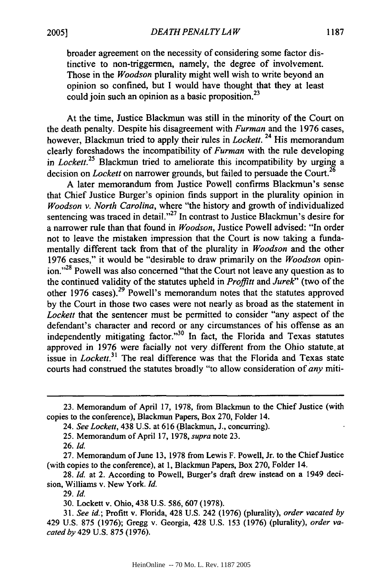broader agreement on the necessity of considering some factor distinctive to non-triggermen, namely, the degree of involvement. Those in the *Woodson* plurality might well wish to write beyond an opinion so confined, but I would have thought that they at least could join such an opinion as a basic proposition.<sup>23</sup>

At the time, Justice Blackmun was still in the minority of the Court on the death penalty. Despite his disagreement with *Furman* and the 1976 cases, however, Blackmun tried to apply their rules in *Lockett.* 24 His memorandum clearly foreshadows the incompatibility of *Furman* with the rule developing in *Lockett.25* Blackmun tried to ameliorate this incompatibility by urging a decision on *Lockett* on narrower grounds, but failed to persuade the Court.<sup>26</sup>

A later memorandum from Justice Powell confirms Blackmun's sense that Chief Justice Burger's opinion finds support in the plurality opinion in *Woodson v. North Carolina,* where "the history and growth of individualized sentencing was traced in detail."<sup>27</sup> In contrast to Justice Blackmun's desire for a narrower rule than that found in *Woodson,* Justice Powell advised: "In order not to leave the mistaken impression that the Court is now taking a fundamentally different tack from that of the plurality in *Woodson* and the other 1976 cases," it would be "desirable to draw primarily on the *Woodson* opinion."<sup>28</sup> Powell was also concerned "that the Court not leave any question as to the continued validity of the statutes upheld in *Proffitt and Jurek"* (two of the other 1976 cases).<sup>29</sup> Powell's memorandum notes that the statutes approved by the Court in those two cases were not nearly as broad as the statement in *Lockett* that the sentencer must be permitted to consider "any aspect of the defendant's character and record or any circumstances of his offense as an independently mitigating factor."30 In fact, the Florida and Texas statutes approved in 1976 were facially not very different from the Ohio statute, at issue in *Lockett.<sup>3</sup> <sup>1</sup>*The real difference was that the Florida and Texas state courts had construed the statutes broadly "to allow consideration of *any* miti-

<sup>23.</sup> Memorandum of April 17, 1978, from Blackmun to the Chief Justice (with copies to the conference), Blackmun Papers, Box 270, Folder 14.

<sup>24.</sup> *See Lockett,* 438 U.S. at 616 (Blackmun, J., concurring).

<sup>25.</sup> Memorandum of April 17, 1978, *supra* note 23.

<sup>26.</sup> *Id.*

<sup>27.</sup> Memorandum of June **13,** 1978 from Lewis F. Powell, Jr. to the Chief Justice (with copies to the conference), at 1, Blackmun Papers, Box 270, Folder 14.

<sup>28.</sup> *Id.* at 2. According to Powell, Burger's draft drew instead on a 1949 decision, Williams v. New York. *Id.*

<sup>29.</sup> *Id.*

<sup>30.</sup> Lockett v. Ohio, 438 U.S. 586, 607 (1978).

<sup>31.</sup> *See id.;* Profitt v. Florida, 428 U.S. 242 (1976) (plurality), *order vacated by* 429 U.S. 875 (1976); Gregg v. Georgia, 428 U.S. 153 (1976) (plurality), *order vacated by* 429 U.S. 875 (1976).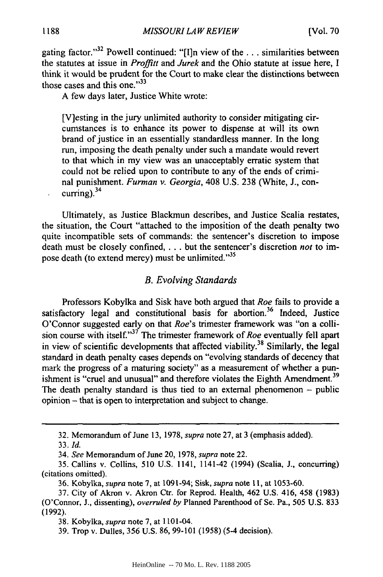gating factor."32 Powell continued: "[I]n view of the **...** similarities between the statutes at issue in *Proffitt* and *Jurek* and the Ohio statute at issue here, I think it would be prudent for the Court to make clear the distinctions between those cases and this one." $33$ 

A few days later, Justice White wrote:

[V]esting in the jury unlimited authority to consider mitigating circumstances is to enhance its power to dispense at will its own brand of justice in an essentially standardless manner. In the long run, imposing the death penalty under such a mandate would revert to that which in my view was an unacceptably erratic system that could not be relied upon to contribute to any of the ends of criminal punishment. *Furman v. Georgia,* 408 U.S. 238 (White, J., concurring). $34$ 

Ultimately, as Justice Blackmun describes, and Justice Scalia restates, the situation, the Court "attached to the imposition of the death penalty two quite incompatible sets of commands: the sentencer's discretion to impose death must be closely confined **....** but the sentencer's discretion *not* to impose death (to extend mercy) must be unlimited."<sup>35</sup>

#### *B. Evolving Standards*

Professors Kobylka and Sisk have both argued that *Roe* fails to provide a satisfactory legal and constitutional basis for abortion.<sup>36</sup> Indeed, Justice O'Connor suggested early on that *Roe's* trimester framework was "on a collision course with itself."37 The trimester framework of *Roe* eventually fell apart in view of scientific developments that affected viability.<sup>38</sup> Similarly, the legal standard in death penalty cases depends on "evolving standards of decency that mark the progress of a maturing society" as a measurement of whether a punishment is "cruel and unusual" and therefore violates the Eighth Amendment.<sup>39</sup> The death penalty standard is thus tied to an external phenomenon  $-$  public opinion - that is open to interpretation and subject to change.

<sup>32.</sup> Memorandum of June 13, 1978, *supra* note 27, at 3 (emphasis added).

<sup>33.</sup> *Id.*

<sup>34.</sup> *See* Memorandum of June 20, 1978, *supra* note 22.

<sup>35.</sup> Callins v. Collins, 510 U.S. 1141, 1141-42 (1994) (Scalia, **J.,** concurring) (citations omitted).

<sup>36.</sup> Kobylka, *supra* note 7, at 1091-94; Sisk, *supra* note 11, at 1053-60.

<sup>37.</sup> City of Akron v. Akron Ctr. for Reprod. Health, 462 U.S. 416, 458 (1983) (O'Connor, J., dissenting), *overruled by* Planned Parenthood of Se. Pa., 505 U.S. 833 (1992).

<sup>38.</sup> Kobylka, *supra* note 7, at 1101-04.

<sup>39.</sup> Trop v. Dulles, 356 U.S. 86, 99-101 (1958) (5-4 decision).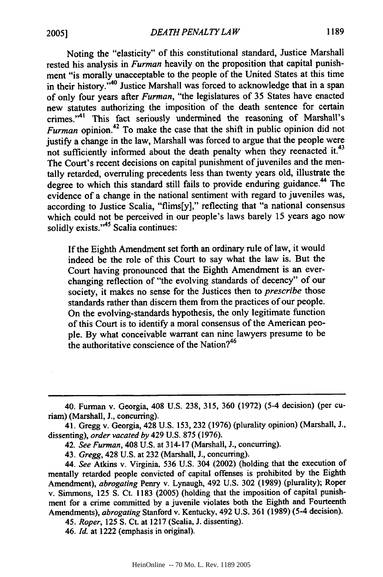Noting the "elasticity" of this constitutional standard, Justice Marshall rested his analysis in *Furman* heavily on the proposition that capital punishment "is morally unacceptable to the people of the United States at this time in their history."<sup>40</sup> Justice Marshall was forced to acknowledge that in a span of only four years after *Furman,* "the legislatures of **35** States have enacted new statutes authorizing the imposition of the death sentence for certain crimes."<sup>41</sup> This fact seriously undermined the reasoning of Marshall's *Furman* opinion.<sup>42</sup> To make the case that the shift in public opinion did not justify a change in the law, Marshall was forced to argue that the people were not sufficiently informed about the death penalty when they reenacted it.<sup>43</sup> The Court's recent decisions on capital punishment of juveniles and the mentally retarded, overruling precedents less than twenty years old, illustrate the degree to which this standard still fails to provide enduring guidance.<sup>44</sup> The evidence of a change in the national sentiment with regard to juveniles was, according to Justice Scalia, "flims[y]," reflecting that "a national consensus which could not be perceived in our people's laws barely 15 years ago now solidly exists."<sup>45</sup> Scalia continues

If the Eighth Amendment set forth an ordinary rule of law, it would indeed be the role of this Court to say what the law is. But the Court having pronounced that the Eighth Amendment is an everchanging reflection of "the evolving standards of decency" of our society, it makes no sense for the Justices then to *prescribe* those standards rather than discern them from the practices of our people. On the evolving-standards hypothesis, the only legitimate function of this Court is to identify a moral consensus of the American people. **By** what conceivable warrant can nine lawyers presume to be the authoritative conscience of the Nation?<sup>46</sup>

45. *Roper,* 125 **S.** Ct. at **1217** (Scalia, J. dissenting).

46. *Id.* at 1222 (emphasis in original).

<sup>40.</sup> Furman v. Georgia, 408 U.S. **238, 315,** 360 (1972) (5-4 decision) (per curiam) (Marshall, **J.,** concurring).

<sup>41.</sup> Gregg v. Georgia, 428 U.S. 153, 232 (1976) (plurality opinion) (Marshall, J., dissenting), *order vacated by* 429 U.S. **875** (1976).

<sup>42.</sup> *See Furman,* 408 U.S. at 314-17 (Marshall, **J.,** concurring).

<sup>43.</sup> *Gregg,* 428 U.S. at **232** (Marshall, **J.,** concurring).

<sup>44.</sup> *See* Atkins v. Virginia. 536 U.S. 304 (2002) (holding that the execution of mentally retarded people convicted of capital offenses is prohibited **by** the Eighth Amendment), *abrogating* Penry v. Lynaugh, 492 U.S. 302 (1989) (plurality); Roper v. Simmons, 125 **S.** Ct. **1183** (2005) (holding that the imposition of capital punishment for a crime committed **by** a juvenile violates both the Eighth and Fourteenth Amendments), *abrogating* Stanford v. Kentucky., 492 U.S. **361** (1989) (5-4 decision).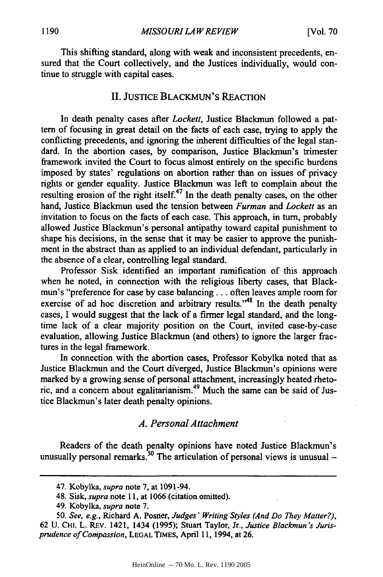This shifting standard, along with weak and inconsistent precedents, ensured that the Court collectively, and the Justices individually, would continue to struggle with capital cases.

### II. JUSTICE BLACKMUN'S REACTION

In death penalty cases after *Lockett,* Justice Blackmun followed a pattern of focusing in great detail on the facts of each case, trying to apply the conflicting precedents, and ignoring the inherent difficulties of the legal standard. In the abortion cases, by comparison, Justice Blackmun's trimester framework invited the Court to focus almost entirely on the specific burdens imposed by states' regulations on abortion rather than on issues of privacy rights or gender equality. Justice Blackmun was left to complain about the resulting erosion of the right itself.<sup>47</sup> In the death penalty cases, on the other hand, Justice Blackrnun used the tension between *Furman* and *Lockett* as an invitation to focus on the facts of each case. This approach, in turn, probably allowed Justice Blackmun's personal antipathy toward capital punishment to shape his decisions, in the sense that it may be easier to approve the punishment in the abstract than as applied to an individual defendant, particularly in the absence of a clear, controlling legal standard.

Professor Sisk identified an important ramification of this approach when he noted, in connection with the religious liberty cases, that Blackmun's "preference for case by case balancing.., often leaves ample room for exercise of ad hoc discretion and arbitrary results.<sup>48</sup> In the death penalty cases, I would suggest that the lack of a firmer legal standard, and the longtime lack of a clear majority position on the Court, invited case-by-case evaluation, allowing Justice Blackmun (and others) to ignore the larger fractures in the legal framework.

In connection with the abortion cases, Professor Kobylka noted that as Justice Blackmun and the Court diverged, Justice Blackmun's opinions were marked by a growing sense of personal attachment, increasingly heated rhetoric, and a concern about egalitarianism.49 Much the same can be said of Justice Blackmun's later death penalty opinions.

#### *A. Personal Attachment*

Readers of the death penalty opinions have noted Justice Blackmun's unusually personal remarks.<sup>50</sup> The articulation of personal views is unusual  $-$ 

<sup>47.</sup> Kobylka, *supra* note 7, at 1091-94.

<sup>48.</sup> Sisk, *supra* note **11,** at 1066 (citation omitted).

<sup>49.</sup> Kobylka, *supra* note 7.

<sup>50.</sup> *See, e.g.,* Richard A. Posner, *Judges' Writing Styles (And Do They Matter?),* 62 U. **CHI.** L. REV. 1421, 1434 (1995); Stuart Taylor, Jr., *Justice Blackmun's Jurisprudence of Compassion,* **LEGAL TIMES,** April 11, 1994, at 26.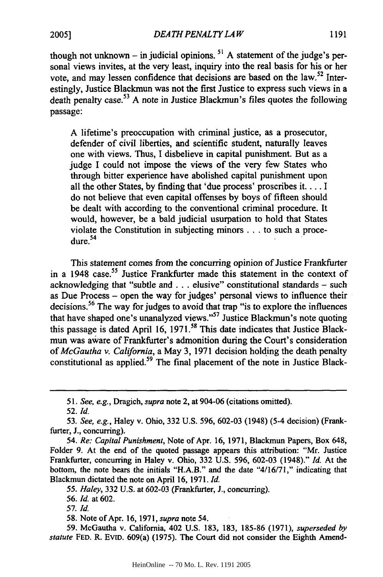*DEATH PENALTY LA W*

though not unknown – in judicial opinions.<sup>51</sup> A statement of the judge's personal views invites, at the very least, inquiry into the real basis for his or her vote, and may lessen confidence that decisions are based on the law.<sup>52</sup> Interestingly, Justice Blackmun was not the first Justice to express such views in a death penalty case.53 A note in Justice Blackmun's files quotes the following passage:

A lifetime's preoccupation with criminal justice, as a prosecutor, defender of civil liberties, and scientific student, naturally leaves one with views. Thus, I disbelieve in capital punishment. But as a judge I could not impose the views of the very few States who through bitter experience have abolished capital punishment upon all the other States, by finding that 'due process' proscribes it.... **I** do not believe that even capital offenses by boys of fifteen should be dealt with according to the conventional criminal procedure. It would, however, be a bald judicial usurpation to hold that States violate the Constitution in subjecting minors **...** to such a proceviolate<br>dure.<sup>54</sup>

This statement comes from the concurring opinion of Justice Frankfurter in a 1948 case.<sup>55</sup> Justice Frankfurter made this statement in the context of acknowledging that "subtle and.., elusive" constitutional standards - such as Due Process - open the way for judges' personal views to influence their decisions. 56 The way for judges to avoid that trap "is to explore the influences that have shaped one's unanalyzed views."<sup>57</sup> Justice Blackmun's note quoting this passage is dated April 16, 1971.<sup>58</sup> This date indicates that Justice Blackmun was aware of Frankfurter's admonition during the Court's consideration *of McGautha v. California,* a May 3, 1971 decision holding the death penalty constitutional as applied.<sup>59</sup> The final placement of the note in Justice Black-

52. *Id.*

*55. Haley,* 332 U.S. at 602-03 (Frankfurter, J., concurring).

*57.* Id.

58. Note of Apr. 16, 1971, *supra* note 54.

59. McGautha v. California, 402 U.S. 183, 183, 185-86 (1971), *superseded by statute* **FED.** R. EvID. 609(a) (1975). The Court did not consider the Eighth Amend-

*<sup>51.</sup> See, e.g.,* Dragich, *supra* note 2, at 904-06 (citations omitted).

*<sup>53.</sup> See, e.g.,* Haley v. Ohio, 332 U.S. 596, 602-03 (1948) (5-4 decision) (Frankfurter, J., concurring).

*<sup>54.</sup> Re: Capital Punishment,* Note of Apr. 16, 1971, Blackmun Papers, Box 648, Folder **9.** At the end of the quoted passage appears this attribution: "Mr. Justice Frankfurter, concurring in Haley v. Ohio, 332 U.S. 596, 602-03 (1948)." *Id.* At the bottom, the note bears the initials "H.A.B." and the date "4/16/71," indicating that Blackmun dictated the note on April 16, 1971. *Id.*

*<sup>56.</sup> Id.* at 602.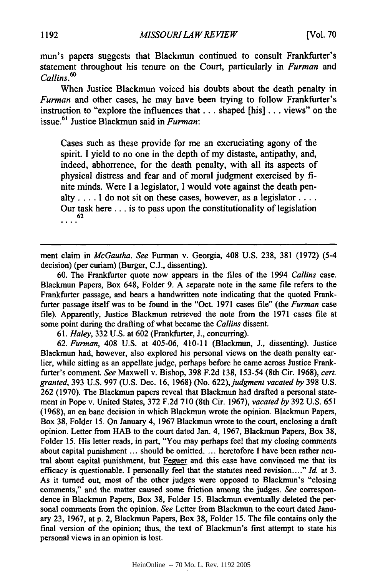mun's papers suggests that Blackmun continued to consult Frankfurter's statement throughout his tenure on the Court, particularly in *Furman and Callins. 6 0*

When Justice Blackmun voiced his doubts about the death penalty in *Furman* and other cases, he may have been trying to follow Frankfurter's instruction to "explore the influences that.., shaped [his] ... views" on the issue.61 Justice Blackmun said in *Furman:*

Cases such as these provide for me an excruciating agony of the spirit. I yield to no one in the depth of my distaste, antipathy, and, indeed, abhorrence, for the death penalty, with all its aspects of physical distress and fear and of moral judgment exercised **by** finite minds. Were I a legislator, I would vote against the death penalty .... **I** do not sit on these cases, however, as a legislator **....** Our task here... is to pass upon the constitutionality of legislation **62**

ment claim in *McGautha. See* Furman v. Georgia, 408 U.S. 238, **381** (1972) (5-4 decision) (per curiam) (Burger, C.J., dissenting).

60. The Frankfurter quote now appears in the files of the 1994 *Callins* case. Blackmun Papers, Box 648, Folder 9. A separate note in the same file refers to the Frankfurter passage, and bears a handwritten note indicating that the quoted Frankfurter passage itself was to be found in the "Oct. **1971** cases file" (the *Furman* case file). Apparently, Justice Blackmun retrieved the note from the **1971** cases file at some point during the drafting of what became the *Callins* dissent.

**61.** *Haley,* **332** U.S. at 602 (Frankfurter, **J.,** concurring).

62. *Furman,* 408 U.S. at 405-06, 410-11 (Blackmun, J., dissenting). Justice Blackmun had, however, also explored his personal views on the death penalty earlier, while sitting as an appellate judge, perhaps before he came across Justice Frankfurter's comment. *See* Maxwell v. Bishop, **398** F.2d **138, 153-54** (8th Cir. 1968), *cert. granted,* **393** U.S. 997 (U.S. Dec. **16,** 1968) (No. *622),judgment vacated by* **398** U.S. 262 (1970). The Blackmun papers reveal that Blackmun had drafted a personal statement in Pope v. United States, **372 F.2d 710** (8th Cir. 1967), *vacated by* 392 U.S. **651** (1968), an en banc decision in which Blackmun wrote the opinion. Blackmun Papers, Box **38,** Folder 15. On January 4, 1967 Blackmun wrote to the court, enclosing a draft opinion. Letter from HAB to the court dated Jan. 4, **1967,** Blackmun Papers, Box **38,** Folder **15.** His letter reads, in part, "You may perhaps feel that my closing comments about capital punishment ... should be omitted. ... heretofore **I** have been rather neutral about capital punishment, but Feguer and this case have convinced me that its efficacy is questionable. I personally feel that the statutes need revision...." *Id.* at **3.** As it turned out, most of the other judges were opposed to Blackmun's "closing comments," and the matter caused some friction among the judges. *See* correspondence in Blackmun Papers, Box 38, Folder 15. Blackmun eventually deleted the personal comments from the opinion. *See* Letter from Blackmun to the court dated January 23, 1967, at p. 2, Blackmun Papers, Box 38, Folder 15. The file contains only the final version of the opinion; thus, the text of Blackmun's first attempt to state his personal views in an opinion is lost.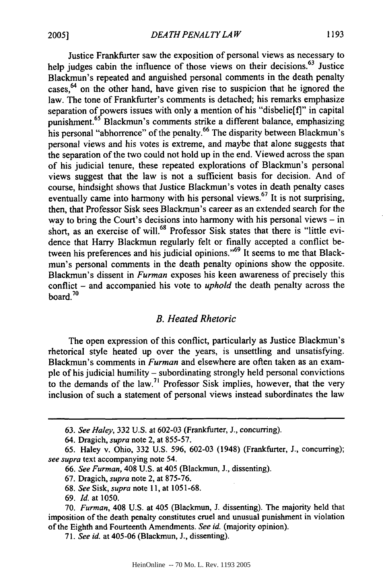Justice Frankfurter saw the exposition of personal views as necessary to help judges cabin the influence of those views on their decisions.<sup>63</sup> Justice Blackmun's repeated and anguished personal comments in the death penalty cases, 64 on the other hand, have given rise to suspicion that **he** ignored the law. The tone of Frankfurter's comments is detached; his remarks emphasize separation of powers issues with only a mention of his "disbelie[f]" in capital punishment.<sup>65</sup> Blackmun's comments strike a different balance, emphasizing his personal "abhorrence" of the penalty.<sup>66</sup> The disparity between Blackmun's personal views and his votes is extreme, and maybe that alone suggests that the separation of the two could not hold up in the end. Viewed across the span of his judicial tenure, these repeated explorations of Blackmun's personal views suggest that the law is not a sufficient basis for decision. And of course, hindsight shows that Justice Blackmun's votes in death penalty cases eventually came into harmony with his personal views.<sup>67</sup> It is not surprising, then, that Professor Sisk sees Blackmun's career as an extended search for the way to bring the Court's decisions into harmony with his personal views **-** in short, as an exercise **of** will.68 Professor Sisk states that there is "little evidence that Harry Blackmun regularly felt or finally accepted a conflict between his preferences and his judicial opinions."<sup>69</sup> It seems to me that Blackmun's personal comments in the death penalty opinions show the opposite. Blackmun's dissent in *Furman* exposes his keen awareness of precisely this conflict **-** and accompanied his vote to *uphold* the death penalty across the board $10$ 

### *B. Heated Rhetoric*

The open expression of this conflict, particularly as Justice Blackmun's rhetorical style heated up over the years, is unsettling and unsatisfying. Blackmun's comments in *Furman* and elsewhere are often taken as an example of his judicial humility **-** subordinating strongly held personal convictions to the demands of the law.<sup>71</sup> Professor Sisk implies, however, that the very inclusion of such a statement of personal views instead subordinates the law

**<sup>63.</sup>** *See Haley,* **332 U.S.** at **602-03** (Frankfurter, **J.,** concurring).

<sup>64.</sup> Dragich, *supra* note 2, at **855-57.**

**<sup>65.</sup>** Haley v. Ohio, **332 U.S. 596, 602-03** (1948) (Frankfurter, **J.,** concurring); *see supra* text accompanying note 54.

*<sup>66.</sup> See Furman,* 408 **U.S.** at 405 (Blackmun, **J.,** dissenting).

**<sup>67.</sup>** Dragich, *supra* note 2, at **875-76.**

**<sup>68.</sup>** *See Sisk, supra* note **11,** at **1051-68.**

**<sup>69.</sup>** *Id.* at **1050.**

**<sup>70.</sup>** *Furman,* 408 **U.S.** at 405 (Blackmun, **J.** dissenting). The majority held that imposition of the death penalty constitutes cruel and unusual punishment in violation of the Eighth and Fourteenth Amendments. *See id.* (majority opinion).

**<sup>71.</sup>** *See id.* at 405-06 (Blackmun, **J.,** dissenting).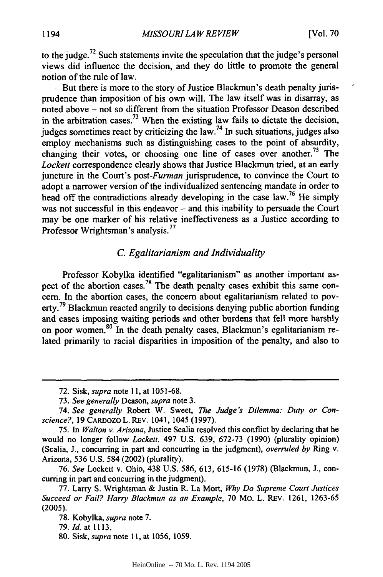to the judge.<sup> $22$ </sup> Such statements invite the speculation that the judge's personal views did influence the decision, and they do little to promote the general notion of the rule of law.

But there is more to the story of Justice Blackmun's death penalty jurisprudence than imposition of his own will. The law itself was in disarray, as noted above - not so different from the situation Professor Deason described in the arbitration cases.<sup>73</sup> When the existing law fails to dictate the decision, judges sometimes react by criticizing the  $law$ .<sup>74</sup> In such situations, judges also employ mechanisms such as distinguishing cases to the point of absurdity, changing their votes, or choosing one line of cases over another.<sup>75</sup> The *Lockett* correspondence clearly shows that Justice Blackmun tried, at an early juncture in the Court's *post-Furman* jurisprudence, to convince the Court to adopt a narrower version of the individualized sentencing mandate in order to head off the contradictions already developing in the case law.<sup>76</sup> He simply was not successful in this endeavor - and this inability to persuade the Court may be one marker of his relative ineffectiveness as a Justice according to Professor Wrightsman's analysis.<sup>77</sup>

## *C. Egalitarianism and Individuality*

Professor Kobylka identified "egalitarianism" as another important aspect of the abortion cases.<sup>78</sup> The death penalty cases exhibit this same concem. In the abortion cases, the concern about egalitarianism related to poverty.<sup>79</sup> Blackmun reacted angrily to decisions denying public abortion funding and cases imposing waiting periods and other burdens that fell more harshly on poor women.<sup>80</sup> In the death penalty cases, Blackmun's egalitarianism related primarily to racial disparities in imposition of the penalty, and also to

76. *See* Lockett v. Ohio, 438 U.S. 586, 613, 615-16 (1978) (Blackmun, J., concurring in part and concurring in the judgment).

<sup>72.</sup> Sisk, *supra* note 11, at 1051-68.

<sup>73.</sup> *See generally* Deason, *supra* note 3.

<sup>74.</sup> See generally Robert W. Sweet, The Judge's *Dilemma:* Duty or Conscience?, 19 CARDOZO L. REV. 1041, 1045 (1997).

<sup>75.</sup> In Walton v. Arizona, Justice Scalia resolved this conflict by declaring that he would no longer follow *Lockett.* 497 U.S. 639, 672-73 (1990) (plurality opinion) (Scalia, J., concurring in part and concurring in the judgment), *overruled by* Ring v. Arizona, 536 U.S. 584 (2002) (plurality).

<sup>77.</sup> Larry S. Wrightsman & Justin R. La Mort, *Why Do Supreme Court Justices Succeed or Fail? Harry Blackmun as an Example,* 70 Mo. L. REV. 1261, 1263-65 **(2005).**

<sup>78.</sup> Kobylka, *supra* note 7.

<sup>79.</sup> *Id.* at **1113.**

<sup>80.</sup> Sisk, *supra* note **11,** at 1056, 1059.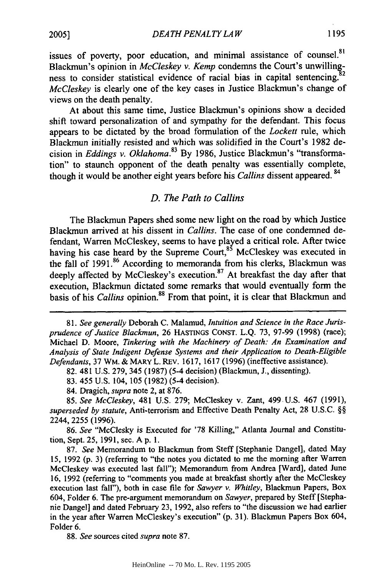**<sup>1195</sup> 2005]** *DEA TH PENAL TY LA <sup>W</sup>*

issues of poverty, poor education, and minimal assistance of counsel.<sup>81</sup> Blackmun's opinion in *McCleskey v. Kemp* condemns the Court's unwilling-<br>ness to consider statistical evidence of racial bias in capital sentencing.<sup>82</sup> *McCleskey* is clearly one of the key cases in Justice Blackmun's change of views on the death penalty.

At about this same time, Justice Blackmun's opinions show a decided shift toward personalization of and sympathy for the defendant. This focus appears to be dictated by the broad formulation of the *Lockett* rule, which Blackmun initially resisted and which was solidified in the Court's 1982 decision in *Eddings v. Oklahoma*.<sup>83</sup> By 1986, Justice Blackmun's "transformation" to staunch opponent of the death penalty was essentially complete, though it would be another eight years before his *Callins* dissent appeared. <sup>84</sup>

## *D. The Path to Callins*

The Blackmun Papers shed some new light on the road by which Justice Blackmun arrived at his dissent in *Callins.* The case of one condemned defendant, Warren McCleskey, seems to have played a critical role. After twice having his case heard by the Supreme Court, $85$  McCleskey was executed in the fall of 1991.<sup>86</sup> According to memoranda from his clerks, Blackmun was deeply affected by McCleskey's execution.<sup>87</sup> At breakfast the day after that execution, Blackmun dictated some remarks that would eventually form the basis of his *Callins* opinion.<sup>88</sup> From that point, it is clear that Blackmun and

84. Dragich, *supra* note 2, at 876.

*85. See McCleskey,* 481 U.S. 279; McCleskey v. Zant, 499. U.S. 467 (1991), *superseded by statute,* Anti-terrorism and Effective Death Penalty Act, 28 U.S.C. §§ 2244, 2255 (1996).

86. *See* "McClesky is Executed for '78 Killing," Atlanta Journal and Constitution, Sept. 25, 1991, sec. A p. 1.

87. *See* Memorandum to Blackmun from Steff [Stephanie Dangel], dated May 15, 1992 (p. 3) (referring to "the notes you dictated to me the morning after Warren McCleskey was executed last fall"); Memorandum from Andrea [Ward], dated June 16, 1992 (referring to "comments you made at breakfast shortly after the McCleskey execution last fall"), both in case file for *Sawyer v. Whitley,* Blackmun Papers, Box 604, Folder 6. The pre-argument memorandum on *Sawyer,* prepared by Steff [Stephanie Dangel] and dated February 23, 1992, also refers to "the discussion we had earlier in the year after Warren McCleskey's execution" (p. 31). Blackmun Papers Box 604, Folder 6.

88. *See* sources cited *supra* note 87.

*<sup>81.</sup> See generally* Deborah C. Malamud, *Intuition and Science in the Race Jurisprudence of Justice Blackmun,* 26 HASTINGS CONST. L.Q. 73, 97-99 (1998) (race); Michael D. Moore, *Tinkering with the Machinery of Death: An Examination and Analysis of State Indigent Defense Systems and their Application to Death-Eligible Defendants,* 37 WM. & MARY L. REv. 1617, 1617 (1996) (ineffective assistance).

<sup>82. 481</sup> U.S. 279, 345 (1987) (5-4 decision) (Blackmun, J., dissenting).

<sup>83. 455</sup> U.S. 104, 105 (1982) (5-4 decision).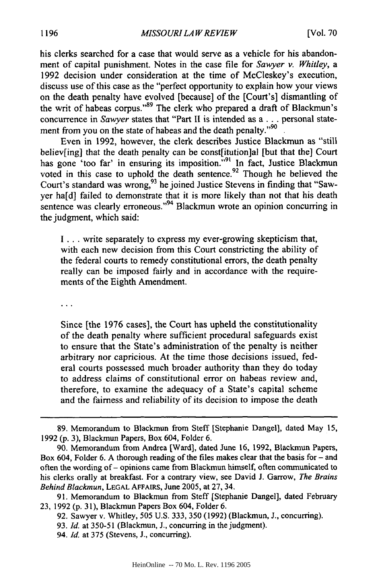his clerks searched for a case that would serve as a vehicle for his abandonment of capital punishment. Notes in the case file for *Sawyer v. Whitley, a* 1992 decision under consideration at the time of McCleskey's execution, discuss use of this case as the "perfect opportunity to explain how your views on the death penalty have evolved [because] of the [Court's] dismantling of the writ of habeas corpus."<sup>89</sup> The clerk who prepared a draft of Blackmun's concurrence in *Sawyer* states that "Part **1I** is intended as a ... personal statement from you on the state of habeas and the death penalty."<sup>90</sup>

Even in 1992, however, the clerk describes Justice Blackmun as "still believ[ing] that the death penalty can be const[itution]al [but that the] Court has gone 'too far' in ensuring its imposition."<sup>91</sup> In fact, Justice Blackmun voted in this case to uphold the death sentence.<sup>92</sup> Though he believed the Court's standard was wrong, <sup>93</sup> he joined Justice Stevens in finding that "Sawyer ha[d] failed to demonstrate that it is more likely than not that his death sentence was clearly erroneous."<sup>94</sup> Blackmun wrote an opinion concurring in the judgment, which said:

**I** ... write separately to express my ever-growing skepticism that, with each new decision from this Court constricting the ability of the federal courts to remedy constitutional errors, the death penalty really can be imposed fairly and in accordance with the requirements of the Eighth Amendment.

 $\ddotsc$ 

Since [the 1976 cases], the Court has upheld the constitutionality of the death penalty where sufficient procedural safeguards exist to ensure that the State's administration of the penalty is neither arbitrary nor capricious. At the time those decisions issued, federal courts possessed much broader authority than they do today to address claims of constitutional error on habeas review and, therefore, to examine the adequacy of a State's capital scheme and the fairness and reliability of its decision to impose the death

<sup>89.</sup> Memorandum to Blackmun from Steff [Stephanie Dangel], dated May 15, 1992 **(p.** 3), Blackmun Papers, Box 604, Folder 6.

<sup>90.</sup> Memorandum from Andrea [Ward], dated June 16, 1992, Blackmun Papers, Box 604, Folder 6. A thorough reading of the files makes clear that the basis for - and often the wording of - opinions came from Blackmun himself, often communicated to his clerks orally at breakfast. For a contrary view, see David J. Garrow, *The Brains Behind Blackmun,* **LEGAL** AFFAIRS, June 2005, at 27, 34.

<sup>91.</sup> Memorandum to Blackmun from Steff [Stephanie Dangel], dated February 23, 1992 (p. 31), Blackmun Papers Box 604, Folder 6.

<sup>92.</sup> Sawyer v. Whitley, 505 U.S. 333, 350 (1992) (Blackmun, J., concurring).

<sup>93.</sup> *Id.* at 350-51 (Blackmun, J., concurring in the judgment).

<sup>94.</sup> *Id.* at 375 (Stevens, J., concurring).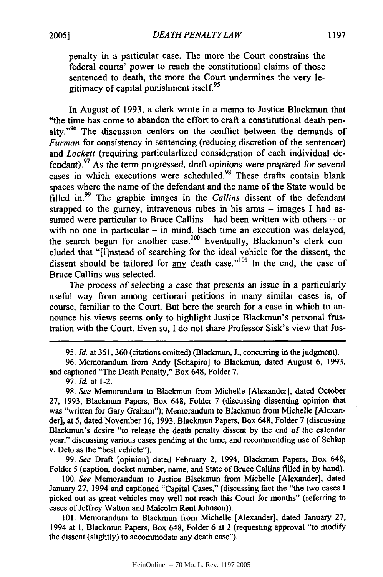penalty in a particular case. The more the Court constrains the federal courts' power to reach the constitutional claims of those sentenced to death, the more the Court undermines the very legitimacy of capital punishment itself.<sup>95</sup>

In August of 1993, a clerk wrote in a memo to Justice Blackmun that "the time has come to abandon the effort to craft a constitutional death penalty."<sup>96</sup> The discussion centers on the conflict between the demands of *Furman* for consistency in sentencing (reducing discretion of the sentencer) and *Lockett* (requiring particularlized consideration of each individual defendant).<sup>97</sup> As the term progressed, draft opinions were prepared for several cases in which executions were scheduled.<sup>98</sup> These drafts contain blank spaces where the name of the defendant and the name of the State would be filled in.99 The graphic images in the *Callins* dissent of the defendant strapped to the gurney, intravenous tubes in his arms  $-$  images I had assumed were particular to Bruce Callins  $-$  had been written with others  $-$  or with no one in particular  $-$  in mind. Each time an execution was delayed, the search began for another case.<sup>100</sup> Eventually, Blackmun's clerk concluded that "[i]nstead of searching for the ideal vehicle for the dissent, the dissent should be tailored for any death case."<sup>101</sup> In the end, the case of Bruce Callins was selected.

The process of selecting a case that presents an issue in a particularly useful way from among certiorari petitions in many similar cases is, of course, familiar to the Court. But here the search for a case in which to announce his views seems only to highlight Justice Blackmun's personal frustration with the Court. Even so, I do not share Professor Sisk's view that Jus-

**95.** *Id.* at 351, **360** (citations omitted) (Blackmun, J., concurring in the judgment).

96. Memorandum from Andy [Schapiro] to Blackmun, dated August 6, 1993, and captioned "The Death Penalty," Box 648, Folder 7.

97. *Id.* at 1-2.

98. *See* Memorandum to Blackmun from Michelle [Alexander], dated October 27, 1993, Blackmun Papers, Box 648, Folder 7 (discussing dissenting opinion that was "written for Gary Graham"); Memorandum to Blackmun from Michelle [Alexander], at 5, dated November 16, 1993, Blackmun Papers, Box 648, Folder 7 (discussing Blackmun's desire "to release the death penalty dissent by the end of the calendar year," discussing various cases pending at the time, and recommending use of Schlup v. Delo as the "best vehicle").

99. *See* Draft [opinion] dated February 2, 1994, Blackmun Papers, Box 648, Folder 5 (caption, docket number, name, and State of Bruce Callins filled in by hand).

100. *See* Memorandum to Justice Blackmun from Michelle [Alexander], dated January 27, 1994 and captioned "Capital Cases," (discussing fact the "the two cases I picked out as great vehicles may well not reach this Court for months" (referring to cases of Jeffrey Walton and Malcolm Rent Johnson)).

101. Memorandum to Blackmun from Michelle [Alexander], dated January 27, 1994 at 1, Blacknun Papers, Box 648, Folder 6 at 2 (requesting approval "to modify the dissent (slightly) to accommodate any death case").